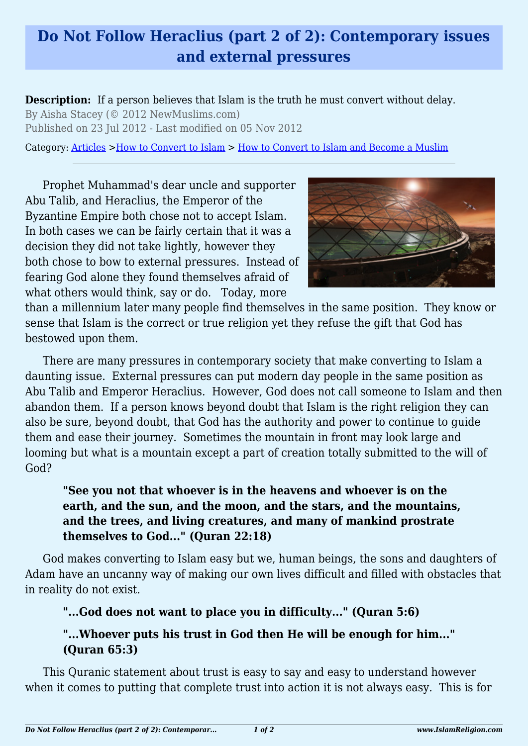## **Do Not Follow Heraclius (part 2 of 2): Contemporary issues and external pressures**

**Description:** If a person believes that Islam is the truth he must convert without delay. By Aisha Stacey (© 2012 NewMuslims.com) Published on 23 Jul 2012 - Last modified on 05 Nov 2012

Category: [Articles](http://www.islamreligion.com/articles/) >[How to Convert to Islam](http://www.islamreligion.com/category/124/) > [How to Convert to Islam and Become a Muslim](http://www.islamreligion.com/category/54/)

Prophet Muhammad's dear uncle and supporter Abu Talib, and Heraclius, the Emperor of the Byzantine Empire both chose not to accept Islam. In both cases we can be fairly certain that it was a decision they did not take lightly, however they both chose to bow to external pressures. Instead of fearing God alone they found themselves afraid of what others would think, say or do. Today, more



than a millennium later many people find themselves in the same position. They know or sense that Islam is the correct or true religion yet they refuse the gift that God has bestowed upon them.

There are many pressures in contemporary society that make converting to Islam a daunting issue. External pressures can put modern day people in the same position as Abu Talib and Emperor Heraclius. However, God does not call someone to Islam and then abandon them. If a person knows beyond doubt that Islam is the right religion they can also be sure, beyond doubt, that God has the authority and power to continue to guide them and ease their journey. Sometimes the mountain in front may look large and looming but what is a mountain except a part of creation totally submitted to the will of God?

## **"See you not that whoever is in the heavens and whoever is on the earth, and the sun, and the moon, and the stars, and the mountains, and the trees, and living creatures, and many of mankind prostrate themselves to God..." (Quran 22:18)**

God makes converting to Islam easy but we, human beings, the sons and daughters of Adam have an uncanny way of making our own lives difficult and filled with obstacles that in reality do not exist.

## **"...God does not want to place you in difficulty..." (Quran 5:6)**

## **"...Whoever puts his trust in God then He will be enough for him..." (Quran 65:3)**

This Quranic statement about trust is easy to say and easy to understand however when it comes to putting that complete trust into action it is not always easy. This is for